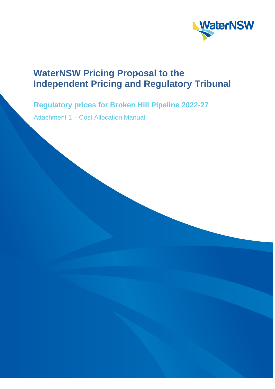

# **WaterNSW Pricing Proposal to the Independent Pricing and Regulatory Tribunal**

# **Regulatory prices for Broken Hill Pipeline 2022-27**

Attachment 1 – Cost Allocation Manual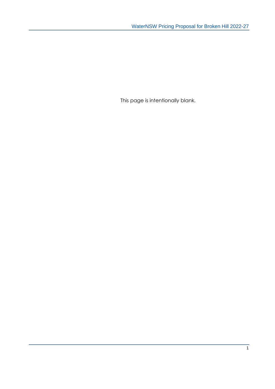This page is intentionally blank.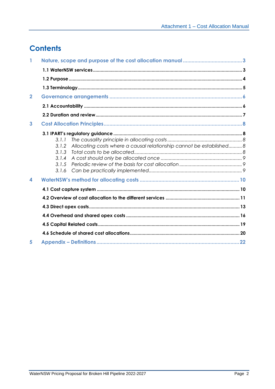# **Contents**

| $\overline{2}$ |                                                                                                                            |  |  |  |
|----------------|----------------------------------------------------------------------------------------------------------------------------|--|--|--|
|                |                                                                                                                            |  |  |  |
|                |                                                                                                                            |  |  |  |
| $\mathbf{3}$   |                                                                                                                            |  |  |  |
|                | 3.1.1<br>Allocating costs where a causal relationship cannot be established 8<br>3.1.2<br>3.1.3<br>3.1.4<br>3.1.5<br>3.1.6 |  |  |  |
| 4              |                                                                                                                            |  |  |  |
|                |                                                                                                                            |  |  |  |
|                |                                                                                                                            |  |  |  |
|                |                                                                                                                            |  |  |  |
|                |                                                                                                                            |  |  |  |
|                |                                                                                                                            |  |  |  |
|                |                                                                                                                            |  |  |  |
| 5              |                                                                                                                            |  |  |  |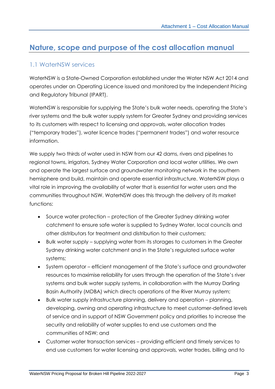## <span id="page-3-0"></span>**Nature, scope and purpose of the cost allocation manual**

### <span id="page-3-1"></span>1.1 WaterNSW services

WaterNSW is a State-Owned Corporation established under the Water NSW Act 2014 and operates under an Operating Licence issued and monitored by the Independent Pricing and Regulatory Tribunal (IPART).

WaterNSW is responsible for supplying the State's bulk water needs, operating the State's river systems and the bulk water supply system for Greater Sydney and providing services to its customers with respect to licensing and approvals, water allocation trades ("temporary trades"), water licence trades ("permanent trades") and water resource information.

We supply two thirds of water used in NSW from our 42 dams, rivers and pipelines to regional towns, irrigators, Sydney Water Corporation and local water utilities. We own and operate the largest surface and groundwater monitoring network in the southern hemisphere and build, maintain and operate essential infrastructure. WaterNSW plays a vital role in improving the availability of water that is essential for water users and the communities throughout NSW. WaterNSW does this through the delivery of its market functions:

- Source water protection protection of the Greater Sydney drinking water catchment to ensure safe water is supplied to Sydney Water, local councils and other distributors for treatment and distribution to their customers;
- Bulk water supply supplying water from its storages to customers in the Greater Sydney drinking water catchment and in the State's regulated surface water systems;
- System operator efficient management of the State's surface and groundwater resources to maximise reliability for users through the operation of the State's river systems and bulk water supply systems, in collaboration with the Murray Darling Basin Authority (MDBA) which directs operations of the River Murray system;
- Bulk water supply infrastructure planning, delivery and operation planning, developing, owning and operating infrastructure to meet customer-defined levels of service and in support of NSW Government policy and priorities to increase the security and reliability of water supplies to end use customers and the communities of NSW; and
- Customer water transaction services providing efficient and timely services to end use customers for water licensing and approvals, water trades, billing and to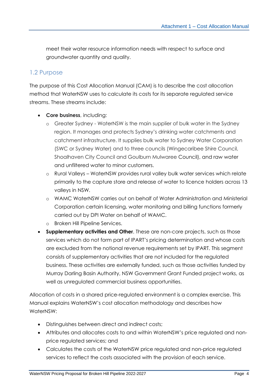meet their water resource information needs with respect to surface and groundwater quantity and quality.

### <span id="page-4-0"></span>1.2 Purpose

The purpose of this Cost Allocation Manual (CAM) is to describe the cost allocation method that WaterNSW uses to calculate its costs for its separate regulated service streams. These streams include:

- **Core business**, including:
	- o Greater Sydney WaterNSW is the main supplier of bulk water in the Sydney region. It manages and protects Sydney's drinking water catchments and catchment infrastructure. It supplies bulk water to Sydney Water Corporation (SWC or Sydney Water) and to three councils (Wingecaribee Shire Council, Shoalhaven City Council and Goulburn Mulwaree Council), and raw water and unfiltered water to minor customers.
	- o Rural Valleys WaterNSW provides rural valley bulk water services which relate primarily to the capture store and release of water to licence holders across 13 valleys in NSW.
	- o WAMC WaterNSW carries out on behalf of Water Administration and Ministerial Corporation certain licensing, water monitoring and billing functions formerly carried out by DPI Water on behalf of WAMC.
	- o Broken Hill Pipeline Services.
- **Supplementary activities and Other**. These are non-core projects, such as those services which do not form part of IPART's pricing determination and whose costs are excluded from the notional revenue requirements set by IPART. This segment consists of supplementary activities that are not included for the regulated business. These activities are externally funded, such as those activities funded by Murray Darling Basin Authority, NSW Government Grant Funded project works, as well as unregulated commercial business opportunities.

Allocation of costs in a shared price-regulated environment is a complex exercise. This Manual explains WaterNSW's cost allocation methodology and describes how WaterNSW:

- Distinguishes between direct and indirect costs;
- Attributes and allocates costs to and within WaterNSW's price regulated and nonprice regulated services; and
- Calculates the costs of the WaterNSW price regulated and non-price regulated services to reflect the costs associated with the provision of each service.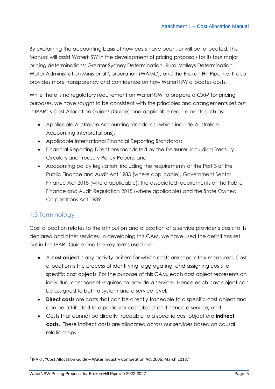By explaining the accounting basis of how costs have been, or will be, allocated, this Manual will assist WaterNSW in the development of pricing proposals for its four major pricing determinations: Greater Sydney Determination, Rural Valleys Determination, Water Administration Ministerial Corporation (WAMC), and the Broken Hill Pipeline. It also provides more transparency and confidence on how WaterNSW allocates costs.

While there is no regulatory requirement on WaterNSW to prepare a CAM for pricing purposes, we have sought to be consistent with the principles and arrangements set out in IPART's Cost Allocation Guide<sup>1</sup> (Guide) and applicable requirements such as:

- Applicable Australian Accounting Standards (which include Australian Accounting Interpretations);
- Applicable International Financial Reporting Standards;
- Financial Reporting Directions mandated by the Treasurer, including Treasury Circulars and Treasury Policy Papers; and
- Accounting policy legislation, including the requirements of the Part 3 of the Public Finance and Audit Act 1983 (where applicable), Government Sector Finance Act 2018 (where applicable), the associated requirements of the Public Finance and Audit Regulation 2015 (where applicable) and the State Owned Corporations Act 1989.

### <span id="page-5-0"></span>1.3 Terminology

Cost allocation relates to the attribution and allocation of a service provider's costs to its declared and other services. In developing this CAM, we have used the definitions set out in the IPART Guide and the key terms used are:

- A **cost object** is any activity or item for which costs are separately measured. Cost allocation is the process of identifying, aggregating, and assigning costs to specific cost objects. For the purpose of this CAM, each cost object represents an individual component required to provide a service. Hence each cost object can be assigned to both a system and a service level;
- **Direct costs** are costs that can be directly traceable to a specific cost object and can be attributed to a particular cost object and hence a service; and
- Costs that cannot be directly traceable to a specific cost object are **indirect costs.** These indirect costs are allocated across our services based on causal relationships.

<sup>&</sup>lt;sup>1</sup> IPART, "Cost Allocation Guide – Water Industry Competition Act 2006, March 2018."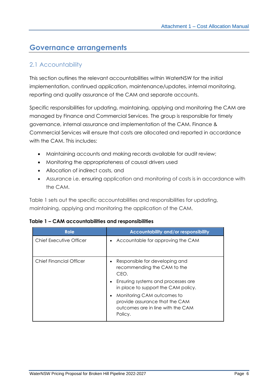## <span id="page-6-0"></span>**Governance arrangements**

### <span id="page-6-1"></span>2.1 Accountability

This section outlines the relevant accountabilities within WaterNSW for the initial implementation, continued application, maintenance/updates, internal monitoring, reporting and quality assurance of the CAM and separate accounts.

Specific responsibilities for updating, maintaining, applying and monitoring the CAM are managed by Finance and Commercial Services. The group is responsible for timely governance, internal assurance and implementation of the CAM. Finance & Commercial Services will ensure that costs are allocated and reported in accordance with the CAM. This includes:

- Maintaining accounts and making records available for audit review;
- Monitoring the appropriateness of causal drivers used
- Allocation of indirect costs, and
- Assurance i.e. ensuring application and monitoring of costs is in accordance with the CAM.

Table 1 sets out the specific accountabilities and responsibilities for updating, maintaining, applying and monitoring the application of the CAM.

| <b>Role</b>             | <b>Accountability and/or responsibility</b>                                                                                                                                                                                                                        |
|-------------------------|--------------------------------------------------------------------------------------------------------------------------------------------------------------------------------------------------------------------------------------------------------------------|
| Chief Executive Officer | • Accountable for approving the CAM                                                                                                                                                                                                                                |
| Chief Financial Officer | Responsible for developing and<br>recommending the CAM to the<br>CEO.<br>Ensuring systems and processes are<br>in place to support the CAM policy.<br>Monitoring CAM outcomes to<br>provide assurance that the CAM<br>outcomes are in line with the CAM<br>Policy. |

|  | Table 1 - CAM accountabilities and responsibilities |  |  |
|--|-----------------------------------------------------|--|--|
|  |                                                     |  |  |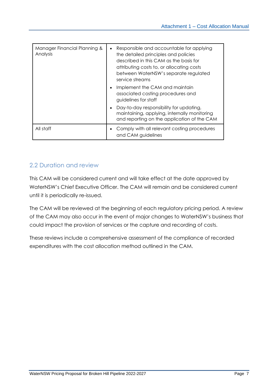| Manager Financial Planning &<br>Analysis | Responsible and accountable for applying<br>the detailed principles and policies<br>described in this CAM as the basis for<br>attributing costs to, or allocating costs<br>between WaterNSW's separate regulated<br>service streams |
|------------------------------------------|-------------------------------------------------------------------------------------------------------------------------------------------------------------------------------------------------------------------------------------|
|                                          | Implement the CAM and maintain<br>associated costing procedures and<br>guidelines for staff                                                                                                                                         |
|                                          | Day-to-day responsibility for updating,<br>maintaining, applying, internally monitoring<br>and reporting on the application of the CAM                                                                                              |
| All staff                                | Comply with all relevant costing procedures<br>and CAM guidelines                                                                                                                                                                   |

### <span id="page-7-0"></span>2.2 Duration and review

This CAM will be considered current and will take effect at the date approved by WaterNSW's Chief Executive Officer. The CAM will remain and be considered current until it is periodically re-issued.

The CAM will be reviewed at the beginning of each regulatory pricing period. A review of the CAM may also occur in the event of major changes to WaterNSW's business that could impact the provision of services or the capture and recording of costs.

These reviews include a comprehensive assessment of the compliance of recorded expenditures with the cost allocation method outlined in the CAM.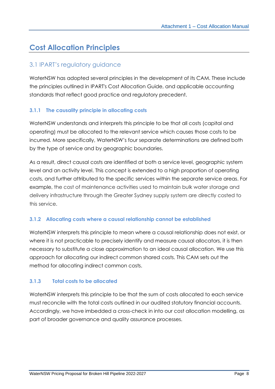# <span id="page-8-0"></span>**Cost Allocation Principles**

### <span id="page-8-1"></span>3.1 IPART's regulatory guidance

WaterNSW has adopted several principles in the development of its CAM. These include the principles outlined in IPART's Cost Allocation Guide, and applicable accounting standards that reflect good practice and regulatory precedent.

### <span id="page-8-2"></span>**3.1.1 The causality principle in allocating costs**

WaterNSW understands and interprets this principle to be that all costs (capital and operating) must be allocated to the relevant service which causes those costs to be incurred. More specifically, WaterNSW's four separate determinations are defined both by the type of service and by geographic boundaries.

As a result, direct causal costs are identified at both a service level, geographic system level and an activity level. This concept is extended to a high proportion of operating costs, and further attributed to the specific services within the separate service areas. For example, the cost of maintenance activities used to maintain bulk water storage and delivery infrastructure through the Greater Sydney supply system are directly costed to this service.

### <span id="page-8-3"></span>**3.1.2 Allocating costs where a causal relationship cannot be established**

WaterNSW interprets this principle to mean where a causal relationship does not exist, or where it is not practicable to precisely identify and measure causal allocators, it is then necessary to substitute a close approximation to an ideal causal allocation. We use this approach for allocating our indirect common shared costs. This CAM sets out the method for allocating indirect common costs.

### <span id="page-8-4"></span>**3.1.3 Total costs to be allocated**

WaterNSW interprets this principle to be that the sum of costs allocated to each service must reconcile with the total costs outlined in our audited statutory financial accounts. Accordingly, we have imbedded a cross-check in into our cost allocation modelling, as part of broader governance and quality assurance processes.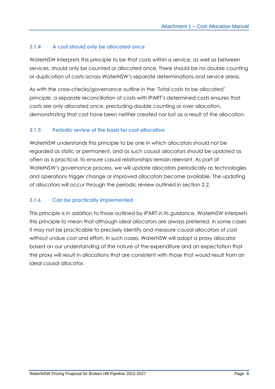### <span id="page-9-0"></span>**3.1.4 A cost should only be allocated once**

WaterNSW interprets this principle to be that costs within a service, as well as between services, should only be counted or allocated once. There should be no double counting or duplication of costs across WaterNSW's separate determinations and service areas.

As with the cross-checks/governance outline in the 'Total costs to be allocated' principle, a separate reconciliation of costs with IPART's determined costs ensures that costs are only allocated once, precluding double counting or over allocation, demonstrating that cost have been neither created nor lost as a result of the allocation.

### <span id="page-9-1"></span>**3.1.5 Periodic review of the basis for cost allocation**

WaterNSW understands this principle to be one in which allocators should not be regarded as static or permanent, and as such causal allocators should be updated as often as is practical, to ensure casual relationships remain relevant. As part of WaterNSW's governance process, we will update allocators periodically as technologies and operations trigger change or improved allocators become available. The updating of allocators will occur through the periodic review outlined in section 2.2.

### <span id="page-9-2"></span>**3.1.6 Can be practically implemented**

This principle is in addition to those outlined by IPART in its guidance. WaterNSW interprets this principle to mean that although ideal allocators are always preferred, in some cases it may not be practicable to precisely identify and measure causal allocators of cost without undue cost and effort. In such cases, WaterNSW will adopt a proxy allocator based on our understanding of the nature of the expenditure and an expectation that the proxy will result in allocations that are consistent with those that would result from an ideal causal allocator.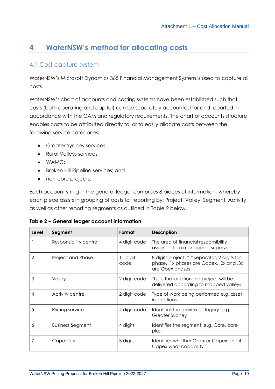# <span id="page-10-0"></span>**4 WaterNSW's method for allocating costs**

### <span id="page-10-1"></span>4.1 Cost capture system

WaterNSW's Microsoft Dynamics 365 Financial Management System is used to capture all costs.

WaterNSW's chart of accounts and costing systems have been established such that costs (both operating and capital) can be separately accounted for and reported in accordance with the CAM and regulatory requirements. The chart of accounts structure enables costs to be attributed directly to, or to easily allocate costs between the following service categories:

- Greater Sydney services
- Rural Valleys services
- WAMC;
- Broken Hill Pipeline services; and
- non-core projects.

Each account string in the general ledger comprises 8 pieces of information, whereby each piece assists in grouping of costs for reporting by: Project, Valley, Segment, Activity as well as other reporting segments as outlined in Table 2 below.

| Level | Segment                 | Format           | <b>Description</b>                                                                                           |
|-------|-------------------------|------------------|--------------------------------------------------------------------------------------------------------------|
|       | Responsibility centre   | 4 digit code     | The area of financial responsibility<br>assigned to a manager or supervisor.                                 |
| 2     | Project and Phase       | 11 digit<br>code | 8 digits project, "." separator, 2 digits for<br>phase. .1x phases are Capex, .2x and .3x<br>are Opex phases |
| 3     | Valley                  | 2 digit code     | This is the location the project will be<br>delivered according to mapped valleys                            |
| 4     | Activity centre         | 2 digit code     | Type of work being performed e.g. asset<br>inspections                                                       |
| 5     | Pricing service         | 4 digit code     | ldentifies the service category .e.g.<br>Greater Sydney                                                      |
| 6     | <b>Business Segment</b> | 4 digits         | Identifies the segment, e.g. Core, core<br>plus                                                              |
| 7     | Capability              | 3 digits         | Identifies whether Opex or Capex and if<br>Capex what capability                                             |

| Table 2 - General ledger account information |  |
|----------------------------------------------|--|
|----------------------------------------------|--|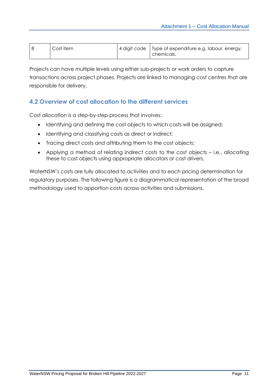|  | Cost item |  | 4 digit code   Type of expenditure e.g. labour, energy,<br>I chemicals. |
|--|-----------|--|-------------------------------------------------------------------------|
|--|-----------|--|-------------------------------------------------------------------------|

Projects can have multiple levels using either sub-projects or work orders to capture transactions across project phases. Projects are linked to managing cost centres that are responsible for delivery.

### <span id="page-11-0"></span>**4.2 Overview of cost allocation to the different services**

Cost allocation is a step-by-step process that involves:

- Identifying and defining the cost objects to which costs will be assigned;
- Identifying and classifying costs as direct or indirect;
- Tracing direct costs and attributing them to the cost objects;
- Applying a method of relating indirect costs to the cost objects i.e., allocating these to cost objects using appropriate allocators or cost drivers.

WaterNSW's costs are fully allocated to activities and to each pricing determination for regulatory purposes. The following figure is a diagrammatical representation of the broad methodology used to apportion costs across activities and submissions.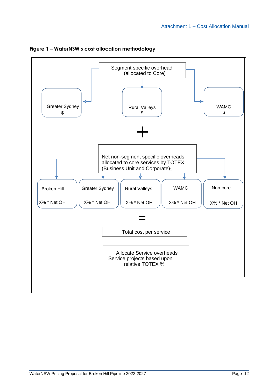

**Figure 1 – WaterNSW's cost allocation methodology**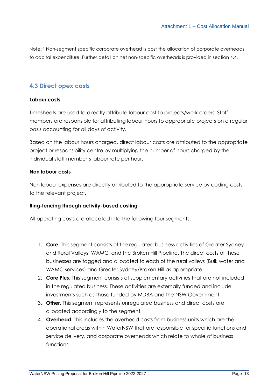Note: <sup>1</sup> Non-seament specific corporate overhead is post the allocation of corporate overheads to capital expenditure. Further detail on net non-specific overheads is provided in section 4.4.

### <span id="page-13-0"></span>**4.3 Direct opex costs**

#### **Labour costs**

Timesheets are used to directly attribute labour cost to projects/work orders. Staff members are responsible for attributing labour hours to appropriate projects on a regular basis accounting for all days of activity.

Based on the labour hours charged, direct labour costs are attributed to the appropriate project or responsibility centre by multiplying the number of hours charged by the individual staff member's labour rate per hour.

### **Non labour costs**

Non labour expenses are directly attributed to the appropriate service by coding costs to the relevant project.

### **Ring-fencing through activity-based costing**

All operating costs are allocated into the following four segments:

- 1. **Core**. This segment consists of the regulated business activities of Greater Sydney and Rural Valleys, WAMC, and the Broken Hill Pipeline. The direct costs of these businesses are tagged and allocated to each of the rural valleys (Bulk water and WAMC services) and Greater Sydney/Broken Hill as appropriate.
- 2. **Core Plus**. This segment consists of supplementary activities that are not included in the regulated business. These activities are externally funded and include investments such as those funded by MDBA and the NSW Government.
- 3. **Other.** This segment represents unregulated business and direct costs are allocated accordingly to the segment.
- 4. **Overhead.** This includes the overhead costs from business units which are the operational areas within WaterNSW that are responsible for specific functions and service delivery, and corporate overheads which relate to whole of business functions.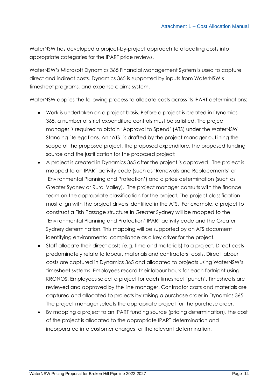WaterNSW has developed a project-by-project approach to allocating costs into appropriate categories for the IPART price reviews.

WaterNSW's Microsoft Dynamics 365 Financial Management System is used to capture direct and indirect costs. Dynamics 365 is supported by inputs from WaterNSW's timesheet programs, and expense claims system.

WaterNSW applies the following process to allocate costs across its IPART determinations:

- Work is undertaken on a project basis. Before a project is created in Dynamics 365, a number of strict expenditure controls must be satisfied. The project manager is required to obtain 'Approval to Spend' (ATS) under the WaterNSW Standing Delegations. An 'ATS' is drafted by the project manager outlining the scope of the proposed project, the proposed expenditure, the proposed funding source and the justification for the proposed project;
- A project is created in Dynamics 365 after the project is approved. The project is mapped to an IPART activity code (such as 'Renewals and Replacements' or 'Environmental Planning and Protection') and a price determination (such as Greater Sydney or Rural Valley). The project manager consults with the finance team on the appropriate classification for the project. The project classification must align with the project drivers identified in the ATS. For example, a project to construct a Fish Passage structure in Greater Sydney will be mapped to the 'Environmental Planning and Protection' IPART activity code and the Greater Sydney determination. This mapping will be supported by an ATS document identifying environmental compliance as a key driver for the project.
- Staff allocate their direct costs (e.g. time and materials) to a project. Direct costs predominately relate to labour, materials and contractors' costs. Direct labour costs are captured in Dynamics 365 and allocated to projects using WaterNSW's timesheet systems. Employees record their labour hours for each fortnight using KRONOS. Employees select a project for each timesheet 'punch'. Timesheets are reviewed and approved by the line manager. Contractor costs and materials are captured and allocated to projects by raising a purchase order in Dynamics 365. The project manager selects the appropriate project for the purchase order.
- By mapping a project to an IPART funding source (pricing determination), the cost of the project is allocated to the appropriate IPART determination and incorporated into customer charges for the relevant determination.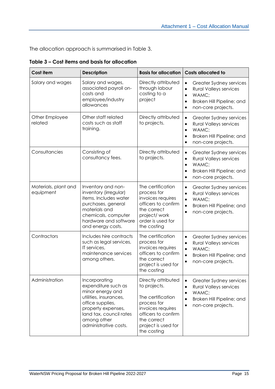The allocation approach is summarised in Table 3.

| Cost item                         | <b>Description</b>                                                                                                                                                                              | <b>Basis for allocation</b>                                                                                                                                              | <b>Costs allocated to</b>                                                                                                                                                             |
|-----------------------------------|-------------------------------------------------------------------------------------------------------------------------------------------------------------------------------------------------|--------------------------------------------------------------------------------------------------------------------------------------------------------------------------|---------------------------------------------------------------------------------------------------------------------------------------------------------------------------------------|
| Salary and wages                  | Salary and wages,<br>associated payroll on-<br>costs and<br>employee/industry<br>allowances                                                                                                     | Directly attributed<br>through labour<br>costing to a<br>project                                                                                                         | Greater Sydney services<br>$\bullet$<br><b>Rural Valleys services</b><br>$\bullet$<br>WAMC;<br>$\bullet$<br>Broken Hill Pipeline; and<br>$\bullet$<br>non-core projects.<br>$\bullet$ |
| Other Employee<br>related         | Other staff related<br>costs such as staff<br>training.                                                                                                                                         | Directly attributed<br>to projects.                                                                                                                                      | Greater Sydney services<br>$\bullet$<br><b>Rural Valleys services</b><br>$\bullet$<br>WAMC;<br>$\bullet$<br>Broken Hill Pipeline; and<br>non-core projects.<br>$\bullet$              |
| Consultancies                     | Consisting of<br>consultancy fees.                                                                                                                                                              | Directly attributed<br>to projects.                                                                                                                                      | Greater Sydney services<br>$\bullet$<br><b>Rural Valleys services</b><br>$\bullet$<br>WAMC;<br>$\bullet$<br>Broken Hill Pipeline; and<br>$\bullet$<br>non-core projects.<br>$\bullet$ |
| Materials, plant and<br>equipment | Inventory and non-<br>inventory (irregular)<br>items. Includes water<br>purchases, general<br>materials and<br>chemicals, computer<br>hardware and software<br>and energy costs.                | The certification<br>process for<br>invoices requires<br>officers to confirm<br>the correct<br>project/ work<br>order is used for<br>the costing                         | Greater Sydney services<br>$\bullet$<br><b>Rural Valleys services</b><br>$\bullet$<br>WAMC;<br>$\bullet$<br>Broken Hill Pipeline; and<br>$\bullet$<br>non-core projects.<br>$\bullet$ |
| Contractors                       | Includes hire contracts<br>such as legal services,<br>IT services,<br>maintenance services<br>among others.                                                                                     | The certification<br>process for<br>invoices requires<br>officers to confirm<br>the correct<br>project is used for<br>the costing                                        | Greater Sydney services<br>$\bullet$<br><b>Rural Valleys services</b><br>$\bullet$<br>WAMC;<br>$\bullet$<br>Broken Hill Pipeline; and<br>$\bullet$<br>non-core projects.<br>$\bullet$ |
| Administration                    | Incorporating<br>expenditure such as<br>minor energy and<br>utilities, insurances,<br>office supplies,<br>property expenses,<br>land tax, council rates<br>among other<br>administrative costs. | Directly attributed<br>to projects.<br>The certification<br>process for<br>invoices requires<br>officers to confirm<br>the correct<br>project is used for<br>the costing | Greater Sydney services<br>$\bullet$<br><b>Rural Valleys services</b><br>$\bullet$<br>WAMC;<br>Broken Hill Pipeline; and<br>non-core projects.                                        |

**Table 3 – Cost items and basis for allocation**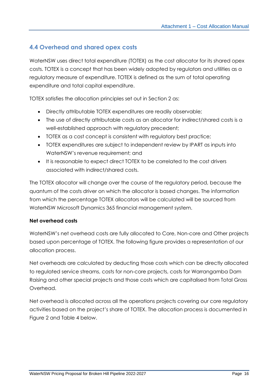### <span id="page-16-0"></span>**4.4 Overhead and shared opex costs**

WaterNSW uses direct total expenditure (TOTEX) as the cost allocator for its shared opex costs. TOTEX is a concept that has been widely adopted by regulators and utilities as a regulatory measure of expenditure. TOTEX is defined as the sum of total operating expenditure and total capital expenditure.

TOTEX satisfies the allocation principles set out in Section 2 as:

- Directly attributable TOTEX expenditures are readily observable;
- The use of directly attributable costs as an allocator for indirect/shared costs is a well-established approach with regulatory precedent;
- TOTEX as a cost concept is consistent with regulatory best practice;
- TOTEX expenditures are subject to independent review by IPART as inputs into WaterNSW's revenue requirement; and
- It is reasonable to expect direct TOTEX to be correlated to the cost drivers associated with indirect/shared costs.

The TOTEX allocator will change over the course of the regulatory period, because the quantum of the costs driver on which the allocator is based changes. The information from which the percentage TOTEX allocators will be calculated will be sourced from WaterNSW Microsoft Dynamics 365 financial management system.

### **Net overhead costs**

WaterNSW's net overhead costs are fully allocated to Core, Non-core and Other projects based upon percentage of TOTEX. The following figure provides a representation of our allocation process.

Net overheads are calculated by deducting those costs which can be directly allocated to regulated service streams, costs for non-core projects, costs for Warrangamba Dam Raising and other special projects and those costs which are capitalised from Total Gross Overhead.

Net overhead is allocated across all the operations projects covering our core regulatory activities based on the project's share of TOTEX. The allocation process is documented in Figure 2 and Table 4 below.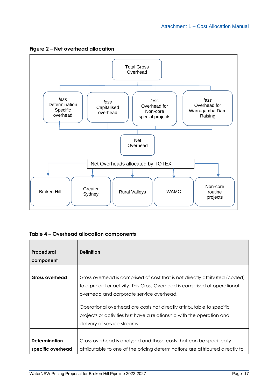



#### **Table 4 – Overhead allocation components**

| Procedural<br>component                   | <b>Definition</b>                                                                                                                                                                                    |
|-------------------------------------------|------------------------------------------------------------------------------------------------------------------------------------------------------------------------------------------------------|
| <b>Gross overhead</b>                     | Gross overhead is comprised of cost that is not directly attributed (coded)<br>to a project or activity. This Gross Overhead is comprised of operational<br>overhead and corporate service overhead. |
|                                           | Operational overhead are costs not directly attributable to specific<br>projects or activities but have a relationship with the operation and<br>delivery of service streams.                        |
| <b>Determination</b><br>specific overhead | Gross overhead is analysed and those costs that can be specifically<br>attributable to one of the pricing determinations are attributed directly to                                                  |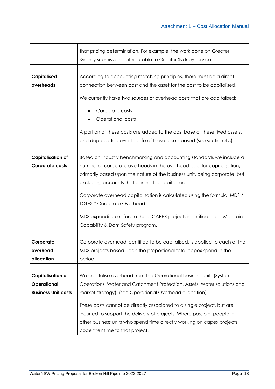|                            | that pricing determination. For example, the work done on Greater          |  |  |  |
|----------------------------|----------------------------------------------------------------------------|--|--|--|
|                            | Sydney submission is attributable to Greater Sydney service.               |  |  |  |
|                            |                                                                            |  |  |  |
| <b>Capitalised</b>         | According to accounting matching principles, there must be a direct        |  |  |  |
| overheads                  | connection between cost and the asset for the cost to be capitalised.      |  |  |  |
|                            | We currently have two sources of overhead costs that are capitalised:      |  |  |  |
|                            | Corporate costs                                                            |  |  |  |
|                            | Operational costs                                                          |  |  |  |
|                            |                                                                            |  |  |  |
|                            | A portion of these costs are added to the cost base of these fixed assets, |  |  |  |
|                            | and depreciated over the life of these assets based (see section 4.5).     |  |  |  |
|                            |                                                                            |  |  |  |
| <b>Capitalisation of</b>   | Based on industry benchmarking and accounting standards we include a       |  |  |  |
| <b>Corporate costs</b>     | number of corporate overheads in the overhead pool for capitalisation,     |  |  |  |
|                            | primarily based upon the nature of the business unit, being corporate, but |  |  |  |
|                            | excluding accounts that cannot be capitalised                              |  |  |  |
|                            | Corporate overhead capitalisation is calculated using the formula: MDS /   |  |  |  |
|                            | TOTEX * Corporate Overhead.                                                |  |  |  |
|                            |                                                                            |  |  |  |
|                            | MDS expenditure refers to those CAPEX projects identified in our Maintain  |  |  |  |
|                            | Capability & Dam Safety program.                                           |  |  |  |
|                            |                                                                            |  |  |  |
| Corporate                  | Corporate overhead identified to be capitalised, is applied to each of the |  |  |  |
| overhead                   | MDS projects based upon the proportional total capex spend in the          |  |  |  |
| allocation                 | period.                                                                    |  |  |  |
|                            |                                                                            |  |  |  |
| <b>Capitalisation of</b>   | We capitalise overhead from the Operational business units (System         |  |  |  |
| Operational                | Operations, Water and Catchment Protection, Assets, Water solutions and    |  |  |  |
| <b>Business Unit costs</b> | market strategy). (see Operational Overhead allocation)                    |  |  |  |
|                            | These costs cannot be directly associated to a single project, but are     |  |  |  |
|                            | incurred to support the delivery of projects. Where possible, people in    |  |  |  |
|                            | other business units who spend time directly working on capex projects     |  |  |  |
|                            | code their time to that project.                                           |  |  |  |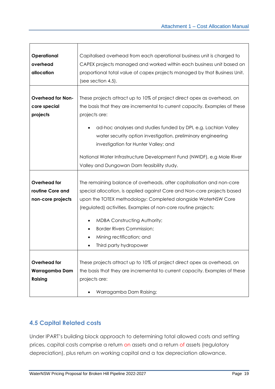٦

| Operational<br>overhead<br>allocation                | Capitalised overhead from each operational business unit is charged to<br>CAPEX projects managed and worked within each business unit based on<br>proportional total value of capex projects managed by that Business Unit.<br>(see section 4.5). |  |  |  |
|------------------------------------------------------|---------------------------------------------------------------------------------------------------------------------------------------------------------------------------------------------------------------------------------------------------|--|--|--|
| <b>Overhead for Non-</b><br>core special<br>projects | These projects attract up to 10% of project direct opex as overhead, on<br>the basis that they are incremental to current capacity. Examples of these<br>projects are:<br>ad-hoc analyses and studies funded by DPI, e.g. Lachlan Valley          |  |  |  |
|                                                      | water security option investigation, preliminary engineering<br>investigation for Hunter Valley; and<br>National Water Infrastructure Development Fund (NWIDF), e.g Mole River<br>Valley and Dungowan Dam feasibility study.                      |  |  |  |
|                                                      |                                                                                                                                                                                                                                                   |  |  |  |
| <b>Overhead for</b>                                  | The remaining balance of overheads, after capitalisation and non-core                                                                                                                                                                             |  |  |  |
| routine Core and                                     | special allocation, is applied against Core and Non-core projects based                                                                                                                                                                           |  |  |  |
| non-core projects                                    | upon the TOTEX methodology: Completed alongside WaterNSW Core                                                                                                                                                                                     |  |  |  |
|                                                      | (regulated) activities. Examples of non-core routine projects:                                                                                                                                                                                    |  |  |  |
|                                                      | <b>MDBA Constructing Authority;</b>                                                                                                                                                                                                               |  |  |  |
|                                                      | <b>Border Rivers Commission;</b>                                                                                                                                                                                                                  |  |  |  |
|                                                      | Mining rectification; and                                                                                                                                                                                                                         |  |  |  |
|                                                      | Third party hydropower                                                                                                                                                                                                                            |  |  |  |
|                                                      |                                                                                                                                                                                                                                                   |  |  |  |
| <b>Overhead for</b>                                  | These projects attract up to 10% of project direct opex as overhead, on                                                                                                                                                                           |  |  |  |
| Warragamba Dam                                       | the basis that they are incremental to current capacity. Examples of these                                                                                                                                                                        |  |  |  |
| Raising                                              | projects are:                                                                                                                                                                                                                                     |  |  |  |
|                                                      | Warragamba Dam Raising;                                                                                                                                                                                                                           |  |  |  |

### <span id="page-19-0"></span>**4.5 Capital Related costs**

 $\Gamma$ 

⊤

Under IPART's building block approach to determining total allowed costs and setting prices, capital costs comprise a return on assets and a return of assets (regulatory depreciation), plus return on working capital and a tax depreciation allowance.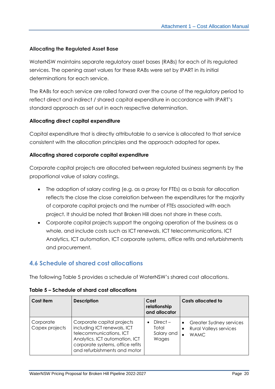#### **Allocating the Regulated Asset Base**

WaterNSW maintains separate regulatory asset bases (RABs) for each of its regulated services. The opening asset values for these RABs were set by IPART in its initial determinations for each service.

The RABs for each service are rolled forward over the course of the regulatory period to reflect direct and indirect / shared capital expenditure in accordance with IPART's standard approach as set out in each respective determination.

#### **Allocating direct capital expenditure**

Capital expenditure that is directly attributable to a service is allocated to that service consistent with the allocation principles and the approach adopted for opex.

#### **Allocating shared corporate capital expenditure**

Corporate capital projects are allocated between regulated business segments by the proportional value of salary costings.

- The adoption of salary costing (e.g. as a proxy for FTEs) as a basis for allocation reflects the close the close correlation between the expenditures for the majority of corporate capital projects and the number of FTEs associated with each project. It should be noted that Broken Hill does not share in these costs.
- Corporate capital projects support the ongoing operation of the business as a whole, and include costs such as ICT renewals, ICT telecommunications, ICT Analytics, ICT automation, ICT corporate systems, office refits and refurbishments and procurement.

### <span id="page-20-0"></span>**4.6 Schedule of shared cost allocations**

The following Table 5 provides a schedule of WaterNSW's shared cost allocations.

| Cost item                   | <b>Description</b>                                                                                                                                                                         | Cost<br>relationship<br>and allocator   | <b>Costs allocated to</b>                                                            |
|-----------------------------|--------------------------------------------------------------------------------------------------------------------------------------------------------------------------------------------|-----------------------------------------|--------------------------------------------------------------------------------------|
| Corporate<br>Capex projects | Corporate capital projects<br>including ICT renewals, ICT<br>telecommunications, ICT<br>Analytics, ICT automation, ICT<br>corporate systems, office refits<br>and refurbishments and motor | Direct-<br>Total<br>Salary and<br>Wages | Greater Sydney services<br>$\bullet$<br><b>Rural Valleys services</b><br><b>WAMC</b> |

### **Table 5 – Schedule of shard cost allocations**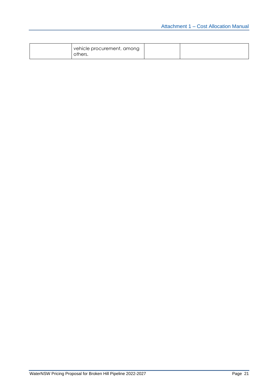| pvehicle procurement, among<br>others. |  |  |
|----------------------------------------|--|--|
|----------------------------------------|--|--|